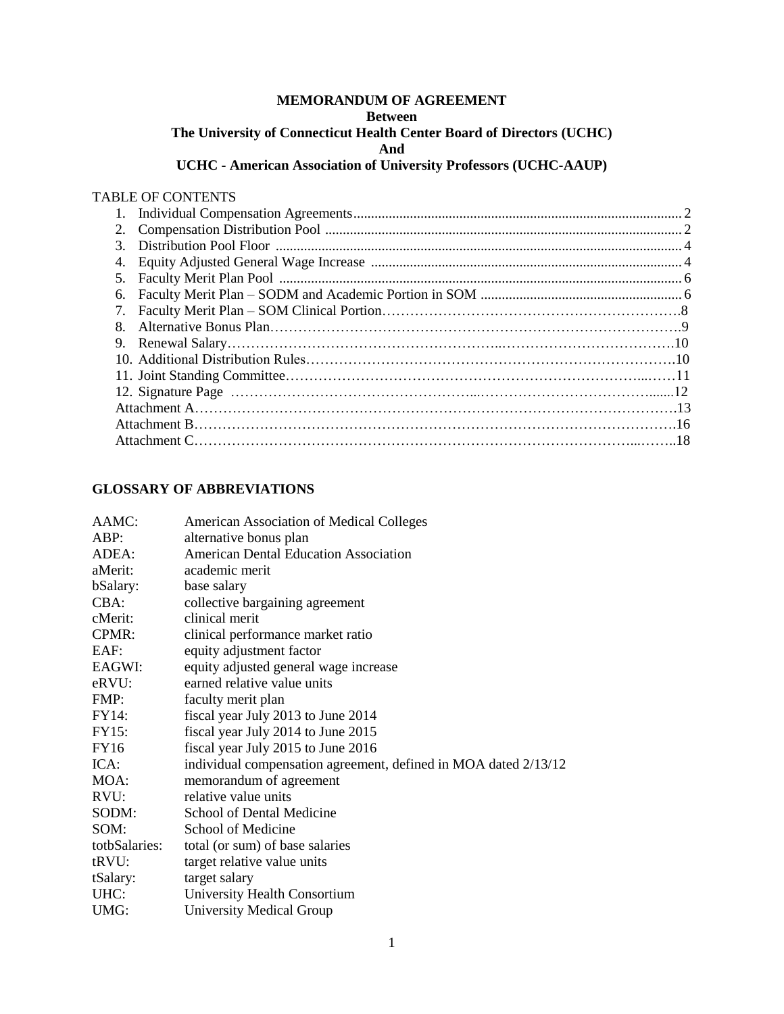#### **MEMORANDUM OF AGREEMENT Between**

## **The University of Connecticut Health Center Board of Directors (UCHC)**

**And**

# **UCHC - American Association of University Professors (UCHC-AAUP)**

#### TABLE OF CONTENTS

| 3. |  |  |
|----|--|--|
| 4. |  |  |
|    |  |  |
|    |  |  |
|    |  |  |
| 8. |  |  |
|    |  |  |
|    |  |  |
|    |  |  |
|    |  |  |
|    |  |  |
|    |  |  |
|    |  |  |
|    |  |  |

## **GLOSSARY OF ABBREVIATIONS**

| AAMC:         | <b>American Association of Medical Colleges</b>                 |
|---------------|-----------------------------------------------------------------|
| ABP:          | alternative bonus plan                                          |
| ADEA:         | <b>American Dental Education Association</b>                    |
| aMerit:       | academic merit                                                  |
| bSalary:      | base salary                                                     |
| CBA:          | collective bargaining agreement                                 |
| cMerit:       | clinical merit                                                  |
| CPMR:         | clinical performance market ratio                               |
| EAF:          | equity adjustment factor                                        |
| EAGWI:        | equity adjusted general wage increase                           |
| eRVU:         | earned relative value units                                     |
| FMP:          | faculty merit plan                                              |
| FY14:         | fiscal year July 2013 to June 2014                              |
| <b>FY15:</b>  | fiscal year July 2014 to June 2015                              |
| FY16          | fiscal year July 2015 to June 2016                              |
| ICA:          | individual compensation agreement, defined in MOA dated 2/13/12 |
| MOA:          | memorandum of agreement                                         |
| RVU:          | relative value units                                            |
| SODM:         | School of Dental Medicine                                       |
| SOM:          | School of Medicine                                              |
| totbSalaries: | total (or sum) of base salaries                                 |
| tRVU:         | target relative value units                                     |
| tSalary:      | target salary                                                   |
| UHC:          | University Health Consortium                                    |
| UMG:          | <b>University Medical Group</b>                                 |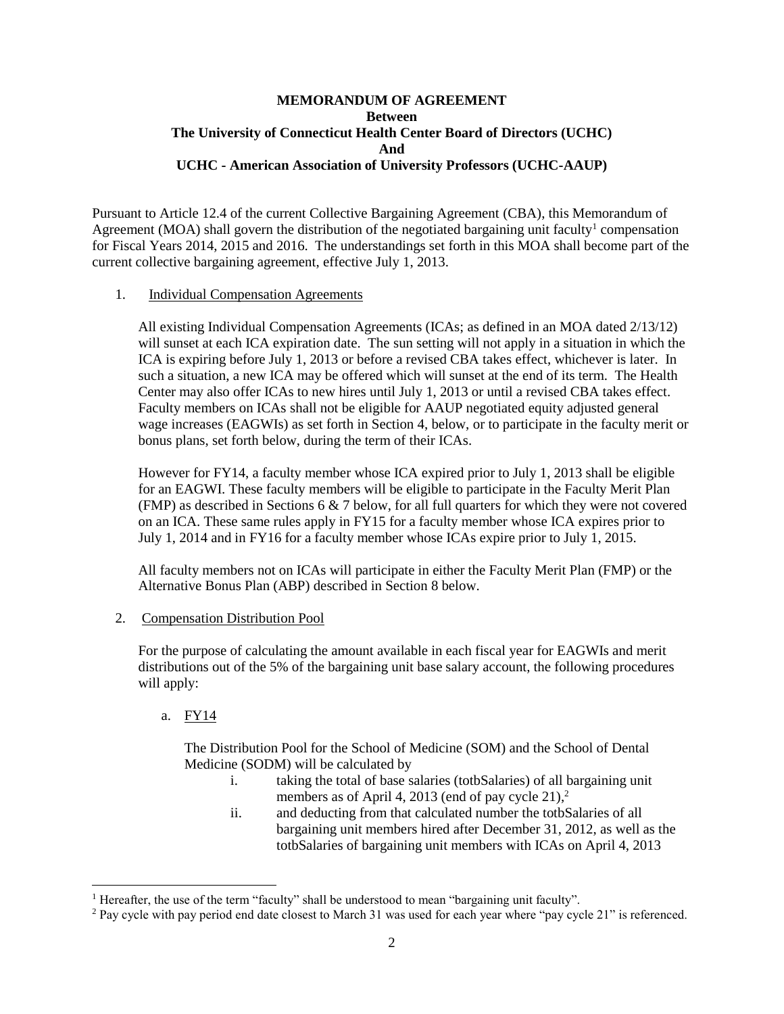#### **MEMORANDUM OF AGREEMENT Between The University of Connecticut Health Center Board of Directors (UCHC) And UCHC - American Association of University Professors (UCHC-AAUP)**

Pursuant to Article 12.4 of the current Collective Bargaining Agreement (CBA), this Memorandum of Agreement (MOA) shall govern the distribution of the negotiated bargaining unit faculty<sup>1</sup> compensation for Fiscal Years 2014, 2015 and 2016. The understandings set forth in this MOA shall become part of the current collective bargaining agreement, effective July 1, 2013.

#### 1. Individual Compensation Agreements

All existing Individual Compensation Agreements (ICAs; as defined in an MOA dated 2/13/12) will sunset at each ICA expiration date. The sun setting will not apply in a situation in which the ICA is expiring before July 1, 2013 or before a revised CBA takes effect, whichever is later. In such a situation, a new ICA may be offered which will sunset at the end of its term. The Health Center may also offer ICAs to new hires until July 1, 2013 or until a revised CBA takes effect. Faculty members on ICAs shall not be eligible for AAUP negotiated equity adjusted general wage increases (EAGWIs) as set forth in Section 4, below, or to participate in the faculty merit or bonus plans, set forth below, during the term of their ICAs.

However for FY14, a faculty member whose ICA expired prior to July 1, 2013 shall be eligible for an EAGWI. These faculty members will be eligible to participate in the Faculty Merit Plan (FMP) as described in Sections 6 & 7 below, for all full quarters for which they were not covered on an ICA. These same rules apply in FY15 for a faculty member whose ICA expires prior to July 1, 2014 and in FY16 for a faculty member whose ICAs expire prior to July 1, 2015.

All faculty members not on ICAs will participate in either the Faculty Merit Plan (FMP) or the Alternative Bonus Plan (ABP) described in Section 8 below.

#### 2. Compensation Distribution Pool

For the purpose of calculating the amount available in each fiscal year for EAGWIs and merit distributions out of the 5% of the bargaining unit base salary account, the following procedures will apply:

a. FY14

 $\overline{\phantom{a}}$ 

The Distribution Pool for the School of Medicine (SOM) and the School of Dental Medicine (SODM) will be calculated by

- i. taking the total of base salaries (totbSalaries) of all bargaining unit members as of April 4, 2013 (end of pay cycle 21),<sup>2</sup>
- ii. and deducting from that calculated number the totbSalaries of all bargaining unit members hired after December 31, 2012, as well as the totbSalaries of bargaining unit members with ICAs on April 4, 2013

<sup>&</sup>lt;sup>1</sup> Hereafter, the use of the term "faculty" shall be understood to mean "bargaining unit faculty".

<sup>&</sup>lt;sup>2</sup> Pay cycle with pay period end date closest to March 31 was used for each year where "pay cycle 21" is referenced.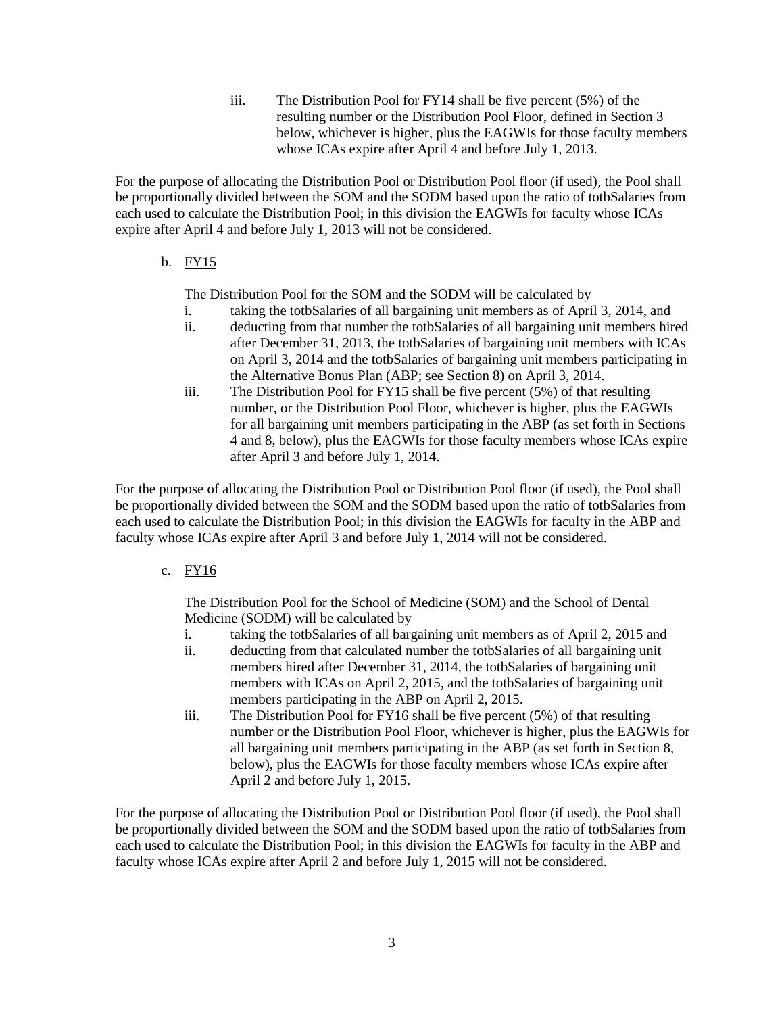iii. The Distribution Pool for FY14 shall be five percent (5%) of the resulting number or the Distribution Pool Floor, defined in Section 3 below, whichever is higher, plus the EAGWIs for those faculty members whose ICAs expire after April 4 and before July 1, 2013.

For the purpose of allocating the Distribution Pool or Distribution Pool floor (if used), the Pool shall be proportionally divided between the SOM and the SODM based upon the ratio of totbSalaries from each used to calculate the Distribution Pool; in this division the EAGWIs for faculty whose ICAs expire after April 4 and before July 1, 2013 will not be considered.

b. FY15

The Distribution Pool for the SOM and the SODM will be calculated by

- i. taking the totbSalaries of all bargaining unit members as of April 3, 2014, and
- ii. deducting from that number the totbSalaries of all bargaining unit members hired after December 31, 2013, the totbSalaries of bargaining unit members with ICAs on April 3, 2014 and the totbSalaries of bargaining unit members participating in the Alternative Bonus Plan (ABP; see Section 8) on April 3, 2014.
- iii. The Distribution Pool for FY15 shall be five percent (5%) of that resulting number, or the Distribution Pool Floor, whichever is higher, plus the EAGWIs for all bargaining unit members participating in the ABP (as set forth in Sections 4 and 8, below), plus the EAGWIs for those faculty members whose ICAs expire after April 3 and before July 1, 2014.

For the purpose of allocating the Distribution Pool or Distribution Pool floor (if used), the Pool shall be proportionally divided between the SOM and the SODM based upon the ratio of totbSalaries from each used to calculate the Distribution Pool; in this division the EAGWIs for faculty in the ABP and faculty whose ICAs expire after April 3 and before July 1, 2014 will not be considered.

c. FY16

The Distribution Pool for the School of Medicine (SOM) and the School of Dental Medicine (SODM) will be calculated by

- i. taking the totbSalaries of all bargaining unit members as of April 2, 2015 and
- ii. deducting from that calculated number the totbSalaries of all bargaining unit members hired after December 31, 2014, the totbSalaries of bargaining unit members with ICAs on April 2, 2015, and the totbSalaries of bargaining unit members participating in the ABP on April 2, 2015.
- iii. The Distribution Pool for FY16 shall be five percent (5%) of that resulting number or the Distribution Pool Floor, whichever is higher, plus the EAGWIs for all bargaining unit members participating in the ABP (as set forth in Section 8, below), plus the EAGWIs for those faculty members whose ICAs expire after April 2 and before July 1, 2015.

For the purpose of allocating the Distribution Pool or Distribution Pool floor (if used), the Pool shall be proportionally divided between the SOM and the SODM based upon the ratio of totbSalaries from each used to calculate the Distribution Pool; in this division the EAGWIs for faculty in the ABP and faculty whose ICAs expire after April 2 and before July 1, 2015 will not be considered.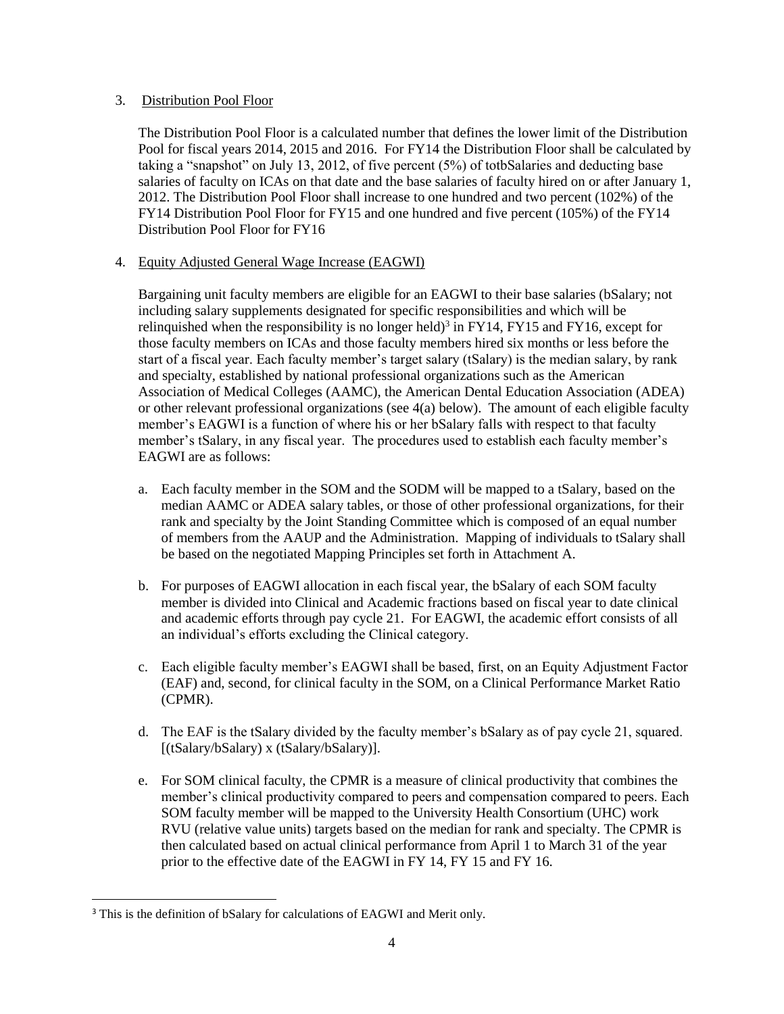#### 3. Distribution Pool Floor

The Distribution Pool Floor is a calculated number that defines the lower limit of the Distribution Pool for fiscal years 2014, 2015 and 2016. For FY14 the Distribution Floor shall be calculated by taking a "snapshot" on July 13, 2012, of five percent (5%) of totbSalaries and deducting base salaries of faculty on ICAs on that date and the base salaries of faculty hired on or after January 1, 2012. The Distribution Pool Floor shall increase to one hundred and two percent (102%) of the FY14 Distribution Pool Floor for FY15 and one hundred and five percent (105%) of the FY14 Distribution Pool Floor for FY16

#### 4. Equity Adjusted General Wage Increase (EAGWI)

Bargaining unit faculty members are eligible for an EAGWI to their base salaries (bSalary; not including salary supplements designated for specific responsibilities and which will be relinquished when the responsibility is no longer held)<sup>3</sup> in FY14, FY15 and FY16, except for those faculty members on ICAs and those faculty members hired six months or less before the start of a fiscal year. Each faculty member's target salary (tSalary) is the median salary, by rank and specialty, established by national professional organizations such as the American Association of Medical Colleges (AAMC), the American Dental Education Association (ADEA) or other relevant professional organizations (see 4(a) below). The amount of each eligible faculty member's EAGWI is a function of where his or her bSalary falls with respect to that faculty member's tSalary, in any fiscal year. The procedures used to establish each faculty member's EAGWI are as follows:

- a. Each faculty member in the SOM and the SODM will be mapped to a tSalary, based on the median AAMC or ADEA salary tables, or those of other professional organizations, for their rank and specialty by the Joint Standing Committee which is composed of an equal number of members from the AAUP and the Administration. Mapping of individuals to tSalary shall be based on the negotiated Mapping Principles set forth in Attachment A.
- b. For purposes of EAGWI allocation in each fiscal year, the bSalary of each SOM faculty member is divided into Clinical and Academic fractions based on fiscal year to date clinical and academic efforts through pay cycle 21. For EAGWI, the academic effort consists of all an individual's efforts excluding the Clinical category.
- c. Each eligible faculty member's EAGWI shall be based, first, on an Equity Adjustment Factor (EAF) and, second, for clinical faculty in the SOM, on a Clinical Performance Market Ratio (CPMR).
- d. The EAF is the tSalary divided by the faculty member's bSalary as of pay cycle 21, squared. [(tSalary/bSalary) x (tSalary/bSalary)].
- e. For SOM clinical faculty, the CPMR is a measure of clinical productivity that combines the member's clinical productivity compared to peers and compensation compared to peers. Each SOM faculty member will be mapped to the University Health Consortium (UHC) work RVU (relative value units) targets based on the median for rank and specialty. The CPMR is then calculated based on actual clinical performance from April 1 to March 31 of the year prior to the effective date of the EAGWI in FY 14, FY 15 and FY 16.

 $\overline{\phantom{a}}$ 

<sup>&</sup>lt;sup>3</sup> This is the definition of bSalary for calculations of EAGWI and Merit only.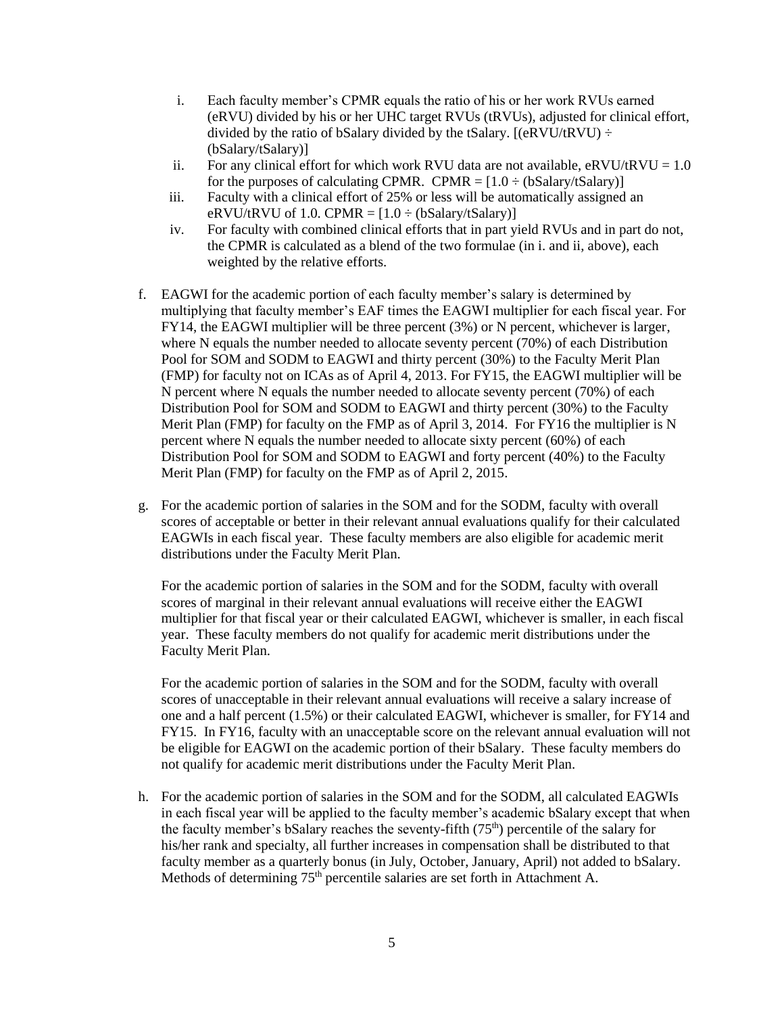- i. Each faculty member's CPMR equals the ratio of his or her work RVUs earned (eRVU) divided by his or her UHC target RVUs (tRVUs), adjusted for clinical effort, divided by the ratio of bSalary divided by the tSalary.  $[(eRVU/tRVU) \div$ (bSalary/tSalary)]
- ii. For any clinical effort for which work RVU data are not available,  $\text{eRVU}/\text{RVU} = 1.0$ for the purposes of calculating CPMR. CPMR =  $[1.0 \div (bSalary/tSalary)]$
- iii. Faculty with a clinical effort of 25% or less will be automatically assigned an eRVU/tRVU of 1.0. CPMR =  $[1.0 \div (bSalary/tSalary)]$
- iv. For faculty with combined clinical efforts that in part yield RVUs and in part do not, the CPMR is calculated as a blend of the two formulae (in i. and ii, above), each weighted by the relative efforts.
- f. EAGWI for the academic portion of each faculty member's salary is determined by multiplying that faculty member's EAF times the EAGWI multiplier for each fiscal year. For FY14, the EAGWI multiplier will be three percent (3%) or N percent, whichever is larger, where N equals the number needed to allocate seventy percent (70%) of each Distribution Pool for SOM and SODM to EAGWI and thirty percent (30%) to the Faculty Merit Plan (FMP) for faculty not on ICAs as of April 4, 2013. For FY15, the EAGWI multiplier will be N percent where N equals the number needed to allocate seventy percent (70%) of each Distribution Pool for SOM and SODM to EAGWI and thirty percent (30%) to the Faculty Merit Plan (FMP) for faculty on the FMP as of April 3, 2014. For FY16 the multiplier is N percent where N equals the number needed to allocate sixty percent (60%) of each Distribution Pool for SOM and SODM to EAGWI and forty percent (40%) to the Faculty Merit Plan (FMP) for faculty on the FMP as of April 2, 2015.
- g. For the academic portion of salaries in the SOM and for the SODM, faculty with overall scores of acceptable or better in their relevant annual evaluations qualify for their calculated EAGWIs in each fiscal year. These faculty members are also eligible for academic merit distributions under the Faculty Merit Plan.

For the academic portion of salaries in the SOM and for the SODM, faculty with overall scores of marginal in their relevant annual evaluations will receive either the EAGWI multiplier for that fiscal year or their calculated EAGWI, whichever is smaller, in each fiscal year. These faculty members do not qualify for academic merit distributions under the Faculty Merit Plan.

For the academic portion of salaries in the SOM and for the SODM, faculty with overall scores of unacceptable in their relevant annual evaluations will receive a salary increase of one and a half percent (1.5%) or their calculated EAGWI, whichever is smaller, for FY14 and FY15. In FY16, faculty with an unacceptable score on the relevant annual evaluation will not be eligible for EAGWI on the academic portion of their bSalary. These faculty members do not qualify for academic merit distributions under the Faculty Merit Plan.

h. For the academic portion of salaries in the SOM and for the SODM, all calculated EAGWIs in each fiscal year will be applied to the faculty member's academic bSalary except that when the faculty member's bSalary reaches the seventy-fifth  $(75<sup>th</sup>)$  percentile of the salary for his/her rank and specialty, all further increases in compensation shall be distributed to that faculty member as a quarterly bonus (in July, October, January, April) not added to bSalary. Methods of determining 75<sup>th</sup> percentile salaries are set forth in Attachment A.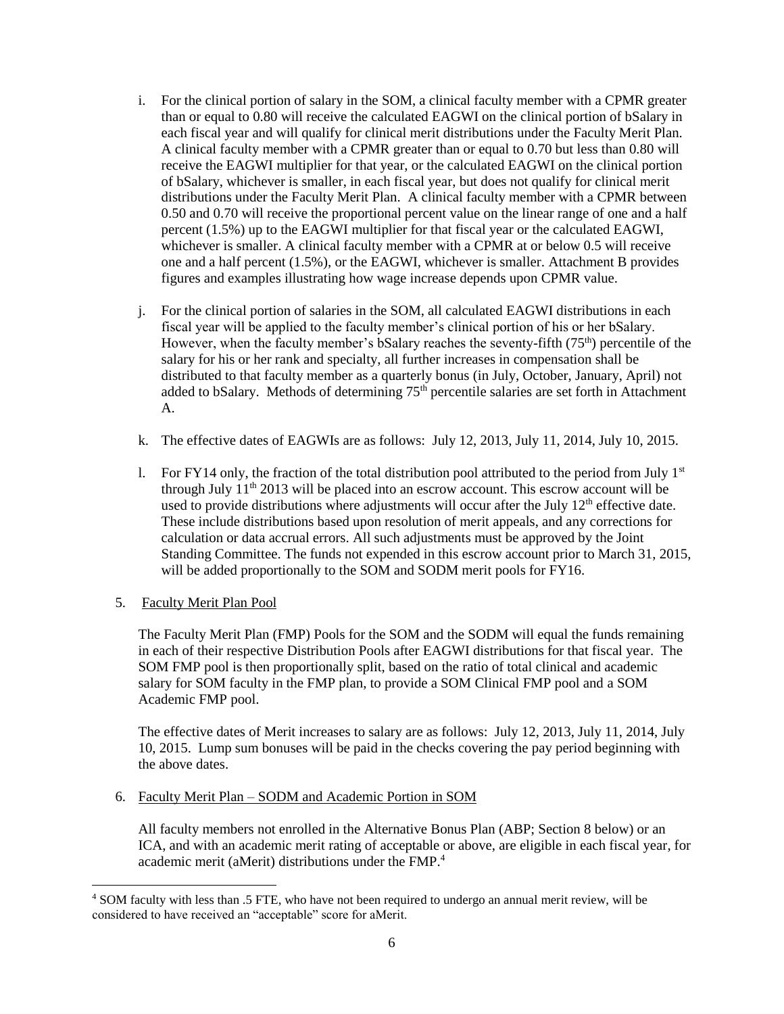- i. For the clinical portion of salary in the SOM, a clinical faculty member with a CPMR greater than or equal to 0.80 will receive the calculated EAGWI on the clinical portion of bSalary in each fiscal year and will qualify for clinical merit distributions under the Faculty Merit Plan. A clinical faculty member with a CPMR greater than or equal to 0.70 but less than 0.80 will receive the EAGWI multiplier for that year, or the calculated EAGWI on the clinical portion of bSalary, whichever is smaller, in each fiscal year, but does not qualify for clinical merit distributions under the Faculty Merit Plan. A clinical faculty member with a CPMR between 0.50 and 0.70 will receive the proportional percent value on the linear range of one and a half percent (1.5%) up to the EAGWI multiplier for that fiscal year or the calculated EAGWI, whichever is smaller. A clinical faculty member with a CPMR at or below 0.5 will receive one and a half percent (1.5%), or the EAGWI, whichever is smaller. Attachment B provides figures and examples illustrating how wage increase depends upon CPMR value.
- j. For the clinical portion of salaries in the SOM, all calculated EAGWI distributions in each fiscal year will be applied to the faculty member's clinical portion of his or her bSalary. However, when the faculty member's bSalary reaches the seventy-fifth  $(75<sup>th</sup>)$  percentile of the salary for his or her rank and specialty, all further increases in compensation shall be distributed to that faculty member as a quarterly bonus (in July, October, January, April) not added to bSalary. Methods of determining 75<sup>th</sup> percentile salaries are set forth in Attachment A.
- k. The effective dates of EAGWIs are as follows: July 12, 2013, July 11, 2014, July 10, 2015.
- 1. For FY14 only, the fraction of the total distribution pool attributed to the period from July  $1<sup>st</sup>$ through July  $11<sup>th</sup> 2013$  will be placed into an escrow account. This escrow account will be used to provide distributions where adjustments will occur after the July  $12<sup>th</sup>$  effective date. These include distributions based upon resolution of merit appeals, and any corrections for calculation or data accrual errors. All such adjustments must be approved by the Joint Standing Committee. The funds not expended in this escrow account prior to March 31, 2015, will be added proportionally to the SOM and SODM merit pools for FY16.
- 5. Faculty Merit Plan Pool

 $\overline{\phantom{a}}$ 

The Faculty Merit Plan (FMP) Pools for the SOM and the SODM will equal the funds remaining in each of their respective Distribution Pools after EAGWI distributions for that fiscal year. The SOM FMP pool is then proportionally split, based on the ratio of total clinical and academic salary for SOM faculty in the FMP plan, to provide a SOM Clinical FMP pool and a SOM Academic FMP pool.

The effective dates of Merit increases to salary are as follows: July 12, 2013, July 11, 2014, July 10, 2015. Lump sum bonuses will be paid in the checks covering the pay period beginning with the above dates.

6. Faculty Merit Plan – SODM and Academic Portion in SOM

All faculty members not enrolled in the Alternative Bonus Plan (ABP; Section 8 below) or an ICA, and with an academic merit rating of acceptable or above, are eligible in each fiscal year, for academic merit (aMerit) distributions under the FMP.<sup>4</sup>

<sup>4</sup> SOM faculty with less than .5 FTE, who have not been required to undergo an annual merit review, will be considered to have received an "acceptable" score for aMerit.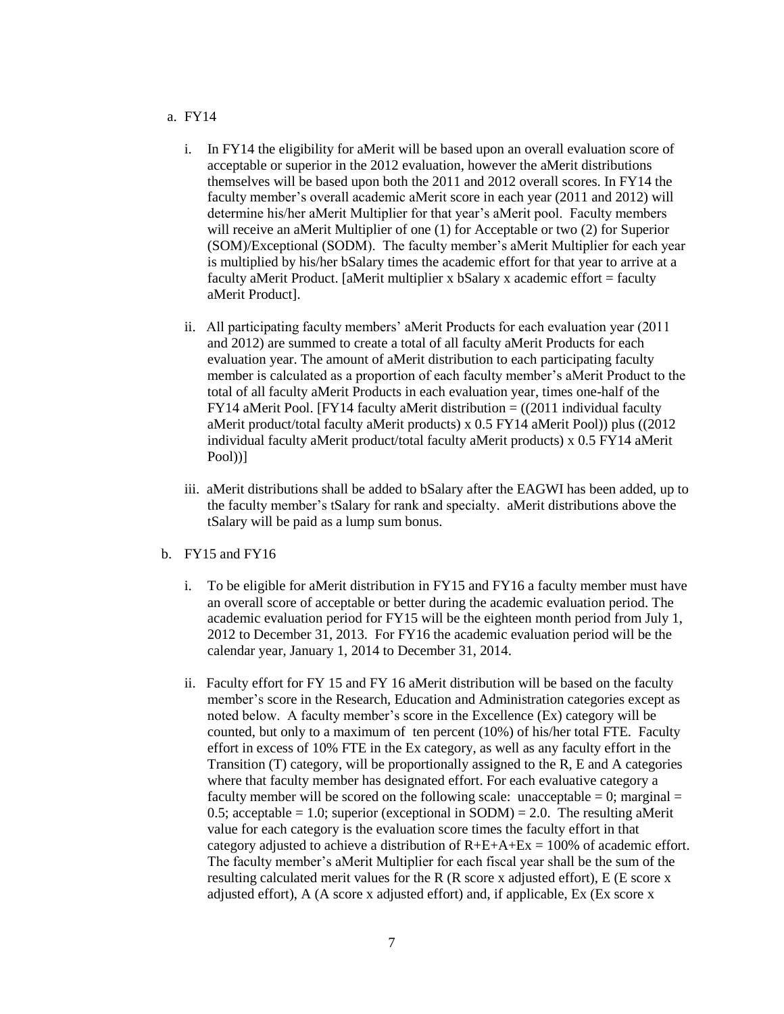#### a. FY14

- i. In FY14 the eligibility for aMerit will be based upon an overall evaluation score of acceptable or superior in the 2012 evaluation, however the aMerit distributions themselves will be based upon both the 2011 and 2012 overall scores. In FY14 the faculty member's overall academic aMerit score in each year (2011 and 2012) will determine his/her aMerit Multiplier for that year's aMerit pool. Faculty members will receive an aMerit Multiplier of one (1) for Acceptable or two (2) for Superior (SOM)/Exceptional (SODM). The faculty member's aMerit Multiplier for each year is multiplied by his/her bSalary times the academic effort for that year to arrive at a faculty aMerit Product. [aMerit multiplier x bSalary x academic effort = faculty aMerit Product].
- ii. All participating faculty members' aMerit Products for each evaluation year (2011 and 2012) are summed to create a total of all faculty aMerit Products for each evaluation year. The amount of aMerit distribution to each participating faculty member is calculated as a proportion of each faculty member's aMerit Product to the total of all faculty aMerit Products in each evaluation year, times one-half of the FY14 aMerit Pool. [FY14 faculty aMerit distribution  $=$  ((2011 individual faculty aMerit product/total faculty aMerit products) x 0.5 FY14 aMerit Pool)) plus ((2012 individual faculty aMerit product/total faculty aMerit products) x 0.5 FY14 aMerit Pool))]
- iii. aMerit distributions shall be added to bSalary after the EAGWI has been added, up to the faculty member's tSalary for rank and specialty. aMerit distributions above the tSalary will be paid as a lump sum bonus.
- b. FY15 and FY16
	- i. To be eligible for aMerit distribution in FY15 and FY16 a faculty member must have an overall score of acceptable or better during the academic evaluation period. The academic evaluation period for FY15 will be the eighteen month period from July 1, 2012 to December 31, 2013. For FY16 the academic evaluation period will be the calendar year, January 1, 2014 to December 31, 2014.
	- ii. Faculty effort for FY 15 and FY 16 aMerit distribution will be based on the faculty member's score in the Research, Education and Administration categories except as noted below. A faculty member's score in the Excellence (Ex) category will be counted, but only to a maximum of ten percent (10%) of his/her total FTE. Faculty effort in excess of 10% FTE in the Ex category, as well as any faculty effort in the Transition (T) category, will be proportionally assigned to the R, E and A categories where that faculty member has designated effort. For each evaluative category a faculty member will be scored on the following scale: unacceptable  $= 0$ ; marginal  $=$ 0.5; acceptable = 1.0; superior (exceptional in SODM) = 2.0. The resulting aMerit value for each category is the evaluation score times the faculty effort in that category adjusted to achieve a distribution of  $R+E+A+Ex = 100\%$  of academic effort. The faculty member's aMerit Multiplier for each fiscal year shall be the sum of the resulting calculated merit values for the R (R score x adjusted effort), E (E score x adjusted effort), A (A score x adjusted effort) and, if applicable, Ex (Ex score x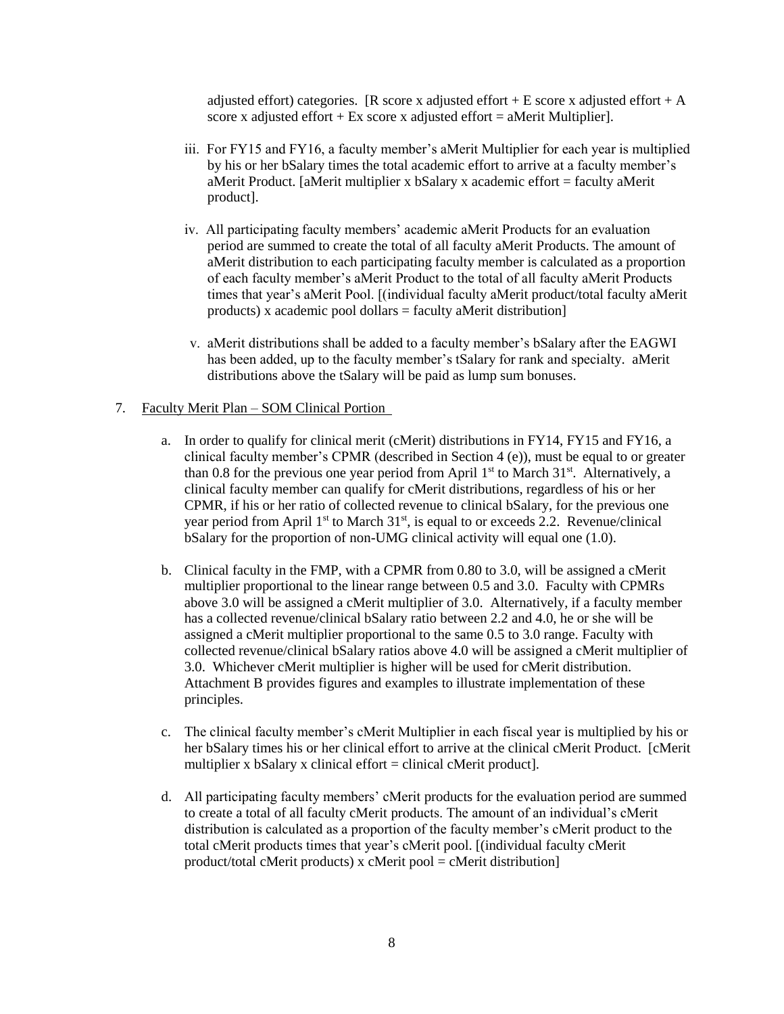adjusted effort) categories. [R score x adjusted effort + E score x adjusted effort + A score x adjusted effort + Ex score x adjusted effort = aMerit Multiplier].

- iii. For FY15 and FY16, a faculty member's aMerit Multiplier for each year is multiplied by his or her bSalary times the total academic effort to arrive at a faculty member's aMerit Product. [aMerit multiplier x bSalary x academic effort = faculty aMerit product].
- iv. All participating faculty members' academic aMerit Products for an evaluation period are summed to create the total of all faculty aMerit Products. The amount of aMerit distribution to each participating faculty member is calculated as a proportion of each faculty member's aMerit Product to the total of all faculty aMerit Products times that year's aMerit Pool. [(individual faculty aMerit product/total faculty aMerit products) x academic pool dollars = faculty aMerit distribution]
- v. aMerit distributions shall be added to a faculty member's bSalary after the EAGWI has been added, up to the faculty member's tSalary for rank and specialty. aMerit distributions above the tSalary will be paid as lump sum bonuses.

#### 7. Faculty Merit Plan – SOM Clinical Portion

- a. In order to qualify for clinical merit (cMerit) distributions in FY14, FY15 and FY16, a clinical faculty member's CPMR (described in Section 4 (e)), must be equal to or greater than 0.8 for the previous one year period from April  $1<sup>st</sup>$  to March 31<sup>st</sup>. Alternatively, a clinical faculty member can qualify for cMerit distributions, regardless of his or her CPMR, if his or her ratio of collected revenue to clinical bSalary, for the previous one year period from April  $1<sup>st</sup>$  to March  $31<sup>st</sup>$ , is equal to or exceeds 2.2. Revenue/clinical bSalary for the proportion of non-UMG clinical activity will equal one (1.0).
- b. Clinical faculty in the FMP, with a CPMR from 0.80 to 3.0, will be assigned a cMerit multiplier proportional to the linear range between 0.5 and 3.0. Faculty with CPMRs above 3.0 will be assigned a cMerit multiplier of 3.0. Alternatively, if a faculty member has a collected revenue/clinical bSalary ratio between 2.2 and 4.0, he or she will be assigned a cMerit multiplier proportional to the same 0.5 to 3.0 range. Faculty with collected revenue/clinical bSalary ratios above 4.0 will be assigned a cMerit multiplier of 3.0. Whichever cMerit multiplier is higher will be used for cMerit distribution. Attachment B provides figures and examples to illustrate implementation of these principles.
- c. The clinical faculty member's cMerit Multiplier in each fiscal year is multiplied by his or her bSalary times his or her clinical effort to arrive at the clinical cMerit Product. [cMerit multiplier x bSalary x clinical effort = clinical cMerit product.
- d. All participating faculty members' cMerit products for the evaluation period are summed to create a total of all faculty cMerit products. The amount of an individual's cMerit distribution is calculated as a proportion of the faculty member's cMerit product to the total cMerit products times that year's cMerit pool. [(individual faculty cMerit product/total cMerit products) x cMerit pool = cMerit distribution]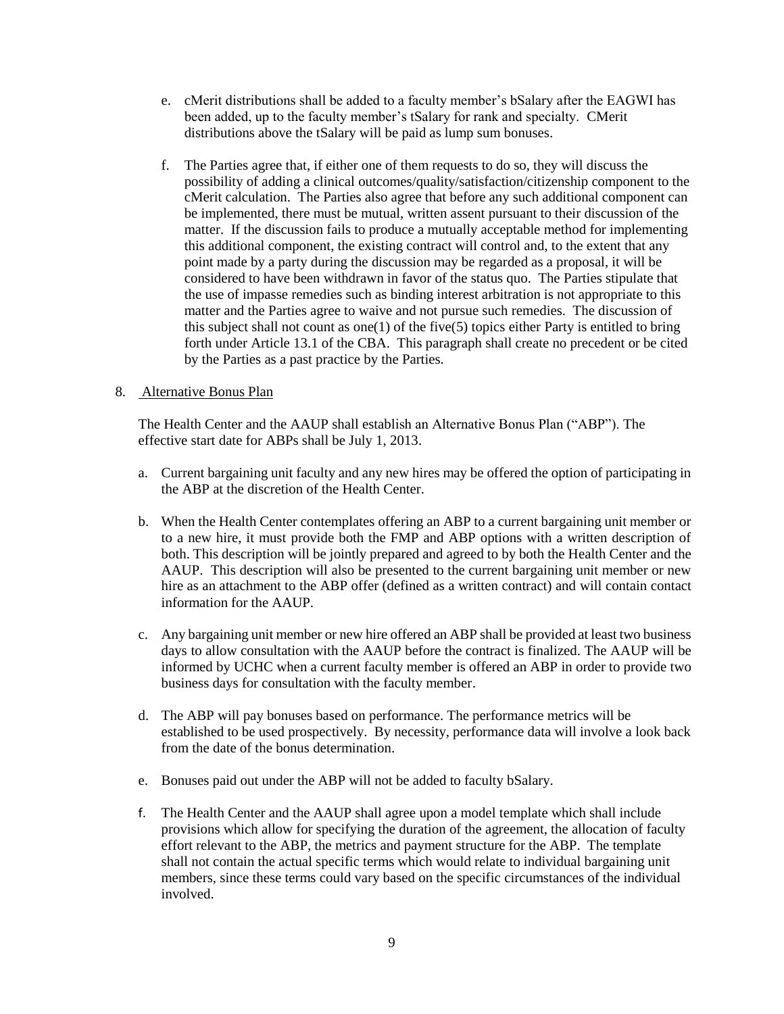- e. cMerit distributions shall be added to a faculty member's bSalary after the EAGWI has been added, up to the faculty member's tSalary for rank and specialty. CMerit distributions above the tSalary will be paid as lump sum bonuses.
- f. The Parties agree that, if either one of them requests to do so, they will discuss the possibility of adding a clinical outcomes/quality/satisfaction/citizenship component to the cMerit calculation. The Parties also agree that before any such additional component can be implemented, there must be mutual, written assent pursuant to their discussion of the matter. If the discussion fails to produce a mutually acceptable method for implementing this additional component, the existing contract will control and, to the extent that any point made by a party during the discussion may be regarded as a proposal, it will be considered to have been withdrawn in favor of the status quo. The Parties stipulate that the use of impasse remedies such as binding interest arbitration is not appropriate to this matter and the Parties agree to waive and not pursue such remedies. The discussion of this subject shall not count as one(1) of the five(5) topics either Party is entitled to bring forth under Article 13.1 of the CBA. This paragraph shall create no precedent or be cited by the Parties as a past practice by the Parties.

#### 8. Alternative Bonus Plan

The Health Center and the AAUP shall establish an Alternative Bonus Plan ("ABP"). The effective start date for ABPs shall be July 1, 2013.

- a. Current bargaining unit faculty and any new hires may be offered the option of participating in the ABP at the discretion of the Health Center.
- b. When the Health Center contemplates offering an ABP to a current bargaining unit member or to a new hire, it must provide both the FMP and ABP options with a written description of both. This description will be jointly prepared and agreed to by both the Health Center and the AAUP. This description will also be presented to the current bargaining unit member or new hire as an attachment to the ABP offer (defined as a written contract) and will contain contact information for the AAUP.
- c. Any bargaining unit member or new hire offered an ABP shall be provided at least two business days to allow consultation with the AAUP before the contract is finalized. The AAUP will be informed by UCHC when a current faculty member is offered an ABP in order to provide two business days for consultation with the faculty member.
- d. The ABP will pay bonuses based on performance. The performance metrics will be established to be used prospectively. By necessity, performance data will involve a look back from the date of the bonus determination.
- e. Bonuses paid out under the ABP will not be added to faculty bSalary.
- f. The Health Center and the AAUP shall agree upon a model template which shall include provisions which allow for specifying the duration of the agreement, the allocation of faculty effort relevant to the ABP, the metrics and payment structure for the ABP. The template shall not contain the actual specific terms which would relate to individual bargaining unit members, since these terms could vary based on the specific circumstances of the individual involved.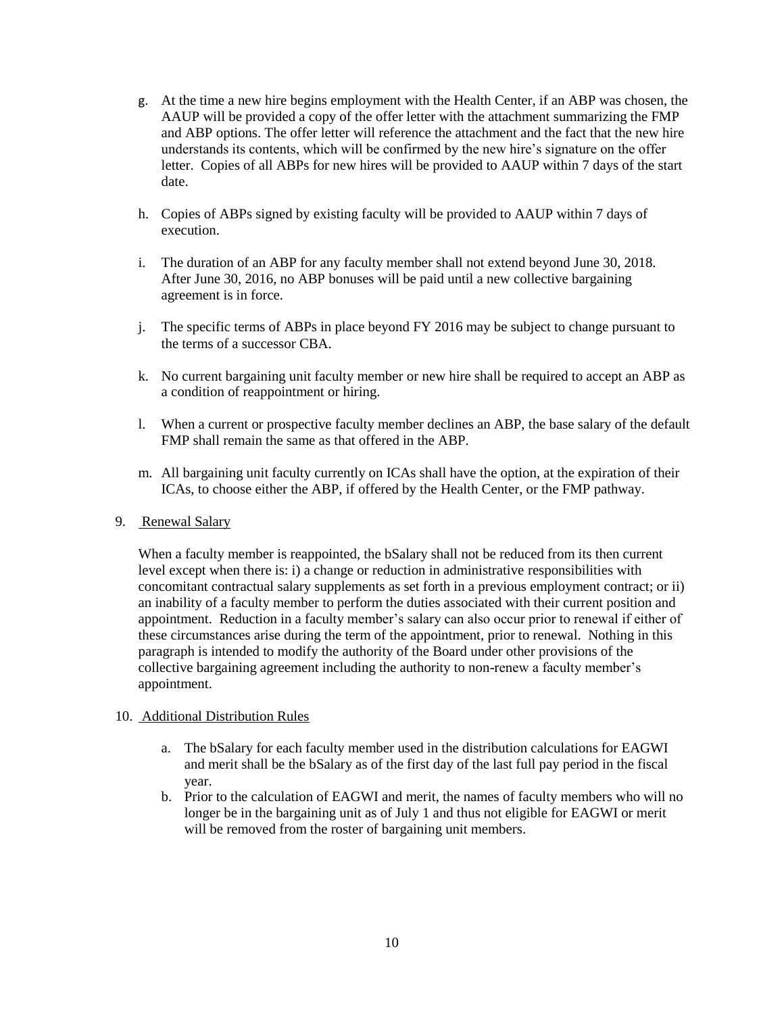- g. At the time a new hire begins employment with the Health Center, if an ABP was chosen, the AAUP will be provided a copy of the offer letter with the attachment summarizing the FMP and ABP options. The offer letter will reference the attachment and the fact that the new hire understands its contents, which will be confirmed by the new hire's signature on the offer letter. Copies of all ABPs for new hires will be provided to AAUP within 7 days of the start date.
- h. Copies of ABPs signed by existing faculty will be provided to AAUP within 7 days of execution.
- i. The duration of an ABP for any faculty member shall not extend beyond June 30, 2018. After June 30, 2016, no ABP bonuses will be paid until a new collective bargaining agreement is in force.
- j. The specific terms of ABPs in place beyond FY 2016 may be subject to change pursuant to the terms of a successor CBA.
- k. No current bargaining unit faculty member or new hire shall be required to accept an ABP as a condition of reappointment or hiring.
- l. When a current or prospective faculty member declines an ABP, the base salary of the default FMP shall remain the same as that offered in the ABP.
- m. All bargaining unit faculty currently on ICAs shall have the option, at the expiration of their ICAs, to choose either the ABP, if offered by the Health Center, or the FMP pathway.

#### 9. Renewal Salary

When a faculty member is reappointed, the bSalary shall not be reduced from its then current level except when there is: i) a change or reduction in administrative responsibilities with concomitant contractual salary supplements as set forth in a previous employment contract; or ii) an inability of a faculty member to perform the duties associated with their current position and appointment. Reduction in a faculty member's salary can also occur prior to renewal if either of these circumstances arise during the term of the appointment, prior to renewal. Nothing in this paragraph is intended to modify the authority of the Board under other provisions of the collective bargaining agreement including the authority to non-renew a faculty member's appointment.

#### 10. Additional Distribution Rules

- a. The bSalary for each faculty member used in the distribution calculations for EAGWI and merit shall be the bSalary as of the first day of the last full pay period in the fiscal year.
- b. Prior to the calculation of EAGWI and merit, the names of faculty members who will no longer be in the bargaining unit as of July 1 and thus not eligible for EAGWI or merit will be removed from the roster of bargaining unit members.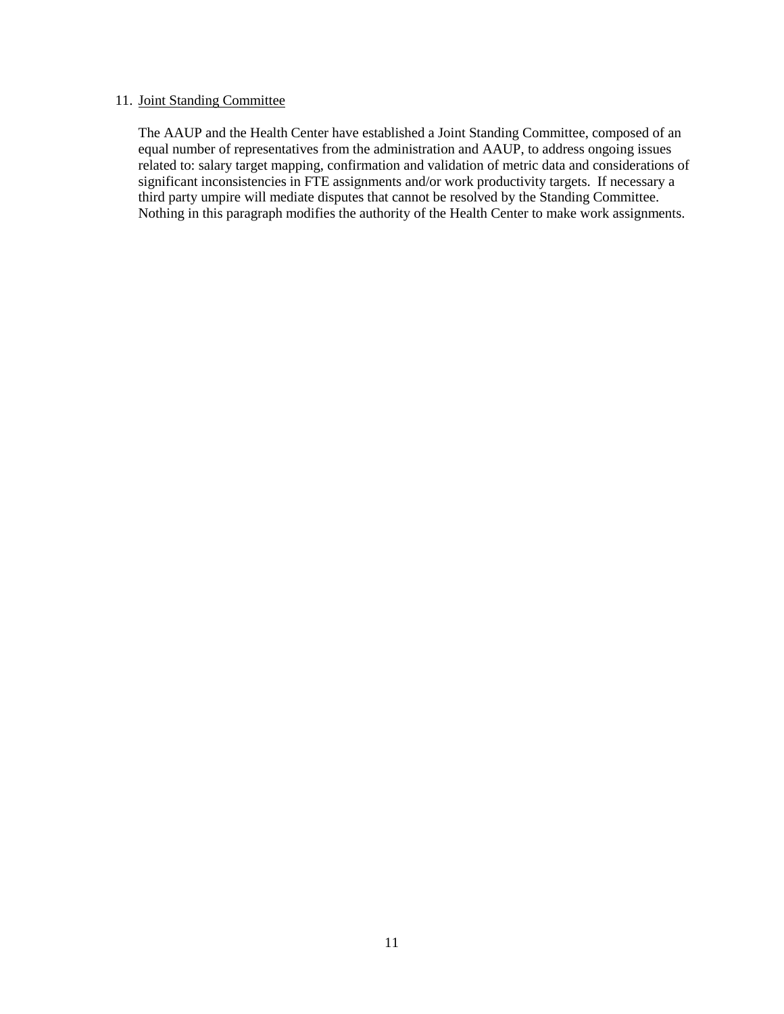#### 11. Joint Standing Committee

The AAUP and the Health Center have established a Joint Standing Committee, composed of an equal number of representatives from the administration and AAUP, to address ongoing issues related to: salary target mapping, confirmation and validation of metric data and considerations of significant inconsistencies in FTE assignments and/or work productivity targets. If necessary a third party umpire will mediate disputes that cannot be resolved by the Standing Committee. Nothing in this paragraph modifies the authority of the Health Center to make work assignments.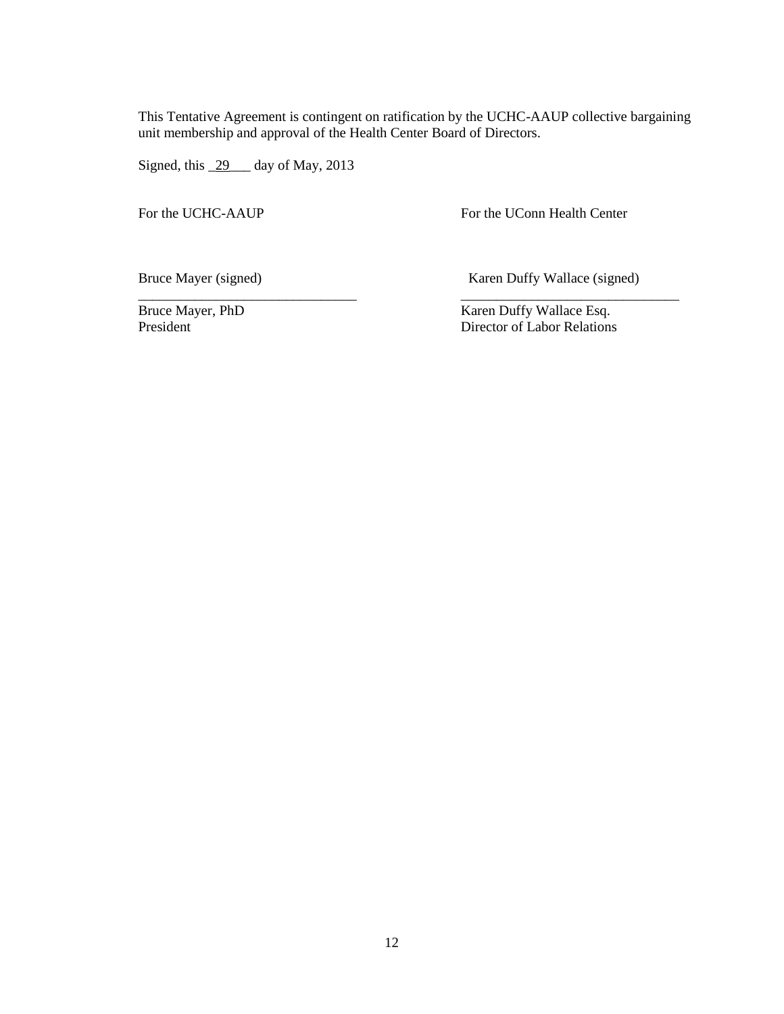This Tentative Agreement is contingent on ratification by the UCHC-AAUP collective bargaining unit membership and approval of the Health Center Board of Directors.

\_\_\_\_\_\_\_\_\_\_\_\_\_\_\_\_\_\_\_\_\_\_\_\_\_\_\_\_\_\_\_ \_\_\_\_\_\_\_\_\_\_\_\_\_\_\_\_\_\_\_\_\_\_\_\_\_\_\_\_\_\_\_

Signed, this 29 day of May, 2013

For the UCHC-AAUP For the UConn Health Center

Bruce Mayer (signed) Karen Duffy Wallace (signed)

Bruce Mayer, PhD<br>
President Bruce Compared to the Mayer of Labor Relations<br>
Pirector of Labor Relations Director of Labor Relations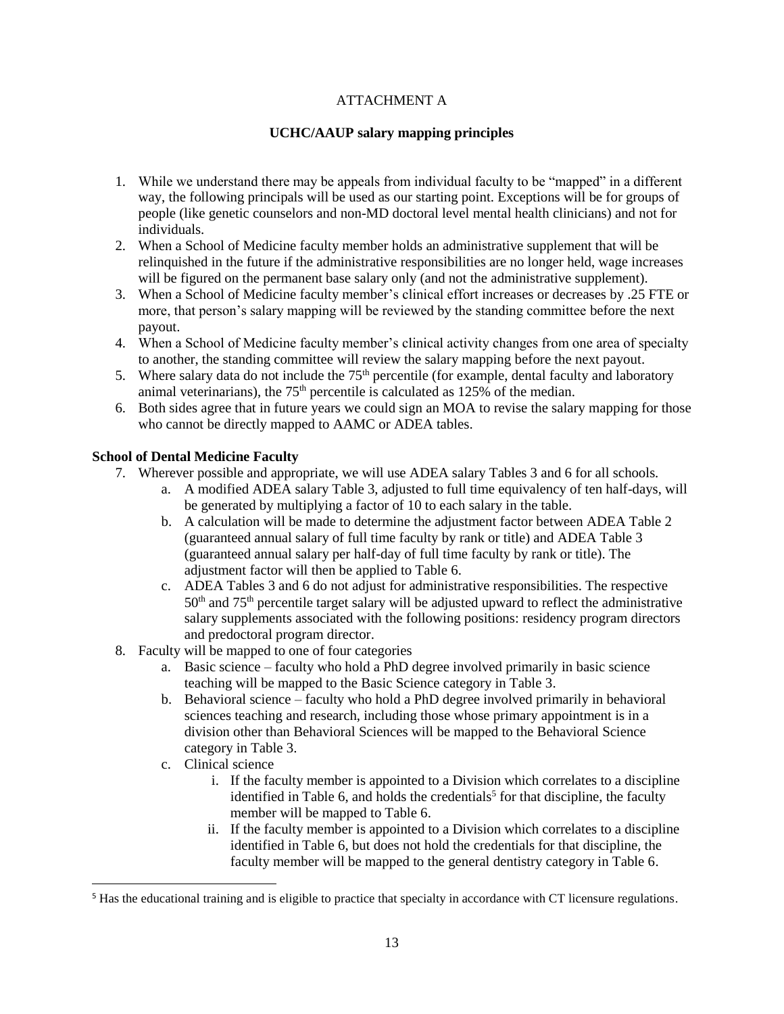## ATTACHMENT A

#### **UCHC/AAUP salary mapping principles**

- 1. While we understand there may be appeals from individual faculty to be "mapped" in a different way, the following principals will be used as our starting point. Exceptions will be for groups of people (like genetic counselors and non-MD doctoral level mental health clinicians) and not for individuals.
- 2. When a School of Medicine faculty member holds an administrative supplement that will be relinquished in the future if the administrative responsibilities are no longer held, wage increases will be figured on the permanent base salary only (and not the administrative supplement).
- 3. When a School of Medicine faculty member's clinical effort increases or decreases by .25 FTE or more, that person's salary mapping will be reviewed by the standing committee before the next payout.
- 4. When a School of Medicine faculty member's clinical activity changes from one area of specialty to another, the standing committee will review the salary mapping before the next payout.
- 5. Where salary data do not include the  $75<sup>th</sup>$  percentile (for example, dental faculty and laboratory animal veterinarians), the  $75<sup>th</sup>$  percentile is calculated as 125% of the median.
- 6. Both sides agree that in future years we could sign an MOA to revise the salary mapping for those who cannot be directly mapped to AAMC or ADEA tables.

#### **School of Dental Medicine Faculty**

- 7. Wherever possible and appropriate, we will use ADEA salary Tables 3 and 6 for all schools.
	- a. A modified ADEA salary Table 3, adjusted to full time equivalency of ten half-days, will be generated by multiplying a factor of 10 to each salary in the table.
	- b. A calculation will be made to determine the adjustment factor between ADEA Table 2 (guaranteed annual salary of full time faculty by rank or title) and ADEA Table 3 (guaranteed annual salary per half-day of full time faculty by rank or title). The adjustment factor will then be applied to Table 6.
	- c. ADEA Tables 3 and 6 do not adjust for administrative responsibilities. The respective 50<sup>th</sup> and 75<sup>th</sup> percentile target salary will be adjusted upward to reflect the administrative salary supplements associated with the following positions: residency program directors and predoctoral program director.
- 8. Faculty will be mapped to one of four categories
	- a. Basic science faculty who hold a PhD degree involved primarily in basic science teaching will be mapped to the Basic Science category in Table 3.
	- b. Behavioral science faculty who hold a PhD degree involved primarily in behavioral sciences teaching and research, including those whose primary appointment is in a division other than Behavioral Sciences will be mapped to the Behavioral Science category in Table 3.
	- c. Clinical science

l

- i. If the faculty member is appointed to a Division which correlates to a discipline identified in Table 6, and holds the credentials<sup>5</sup> for that discipline, the faculty member will be mapped to Table 6.
- ii. If the faculty member is appointed to a Division which correlates to a discipline identified in Table 6, but does not hold the credentials for that discipline, the faculty member will be mapped to the general dentistry category in Table 6.

<sup>&</sup>lt;sup>5</sup> Has the educational training and is eligible to practice that specialty in accordance with CT licensure regulations.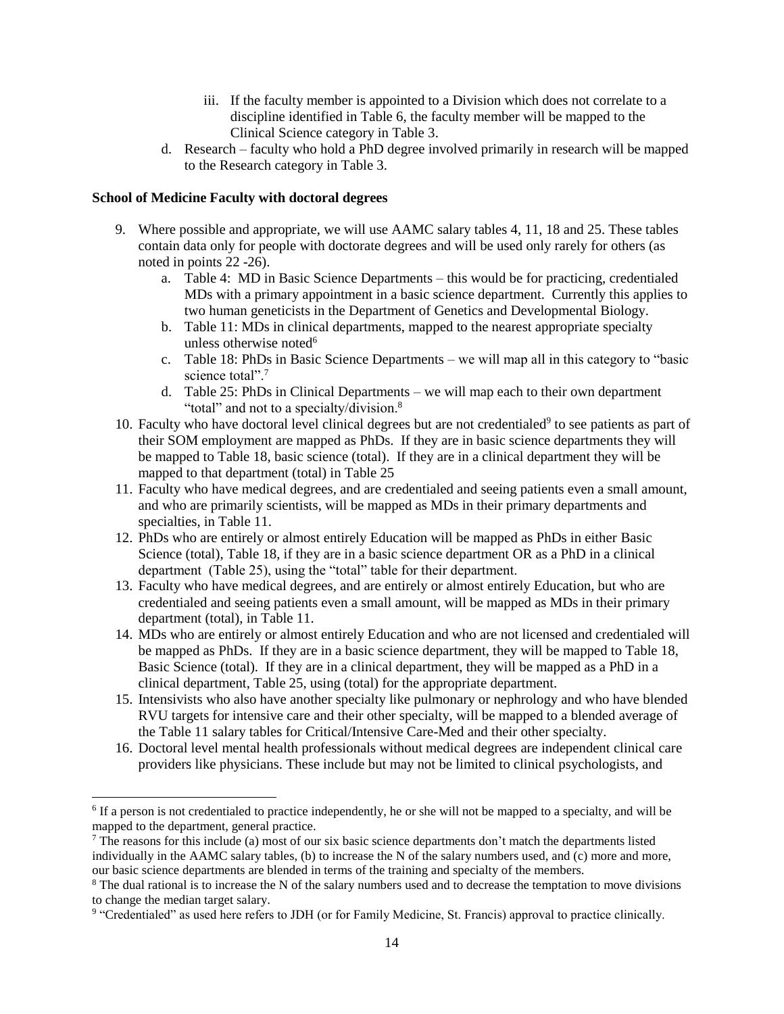- iii. If the faculty member is appointed to a Division which does not correlate to a discipline identified in Table 6, the faculty member will be mapped to the Clinical Science category in Table 3.
- d. Research faculty who hold a PhD degree involved primarily in research will be mapped to the Research category in Table 3.

#### **School of Medicine Faculty with doctoral degrees**

 $\overline{a}$ 

- 9. Where possible and appropriate, we will use AAMC salary tables 4, 11, 18 and 25. These tables contain data only for people with doctorate degrees and will be used only rarely for others (as noted in points 22 -26).
	- a. Table 4: MD in Basic Science Departments this would be for practicing, credentialed MDs with a primary appointment in a basic science department. Currently this applies to two human geneticists in the Department of Genetics and Developmental Biology.
	- b. Table 11: MDs in clinical departments, mapped to the nearest appropriate specialty unless otherwise noted<sup>6</sup>
	- c. Table 18: PhDs in Basic Science Departments we will map all in this category to "basic science total".<sup>7</sup>
	- d. Table 25: PhDs in Clinical Departments we will map each to their own department "total" and not to a specialty/division.<sup>8</sup>
- 10. Faculty who have doctoral level clinical degrees but are not credentialed<sup>9</sup> to see patients as part of their SOM employment are mapped as PhDs. If they are in basic science departments they will be mapped to Table 18, basic science (total). If they are in a clinical department they will be mapped to that department (total) in Table 25
- 11. Faculty who have medical degrees, and are credentialed and seeing patients even a small amount, and who are primarily scientists, will be mapped as MDs in their primary departments and specialties, in Table 11.
- 12. PhDs who are entirely or almost entirely Education will be mapped as PhDs in either Basic Science (total), Table 18, if they are in a basic science department OR as a PhD in a clinical department (Table 25), using the "total" table for their department.
- 13. Faculty who have medical degrees, and are entirely or almost entirely Education, but who are credentialed and seeing patients even a small amount, will be mapped as MDs in their primary department (total), in Table 11.
- 14. MDs who are entirely or almost entirely Education and who are not licensed and credentialed will be mapped as PhDs. If they are in a basic science department, they will be mapped to Table 18, Basic Science (total). If they are in a clinical department, they will be mapped as a PhD in a clinical department, Table 25, using (total) for the appropriate department.
- 15. Intensivists who also have another specialty like pulmonary or nephrology and who have blended RVU targets for intensive care and their other specialty, will be mapped to a blended average of the Table 11 salary tables for Critical/Intensive Care-Med and their other specialty.
- 16. Doctoral level mental health professionals without medical degrees are independent clinical care providers like physicians. These include but may not be limited to clinical psychologists, and

<sup>&</sup>lt;sup>6</sup> If a person is not credentialed to practice independently, he or she will not be mapped to a specialty, and will be mapped to the department, general practice.

 $^7$  The reasons for this include (a) most of our six basic science departments don't match the departments listed individually in the AAMC salary tables, (b) to increase the N of the salary numbers used, and (c) more and more, our basic science departments are blended in terms of the training and specialty of the members.

<sup>&</sup>lt;sup>8</sup> The dual rational is to increase the N of the salary numbers used and to decrease the temptation to move divisions to change the median target salary.

<sup>9</sup> "Credentialed" as used here refers to JDH (or for Family Medicine, St. Francis) approval to practice clinically.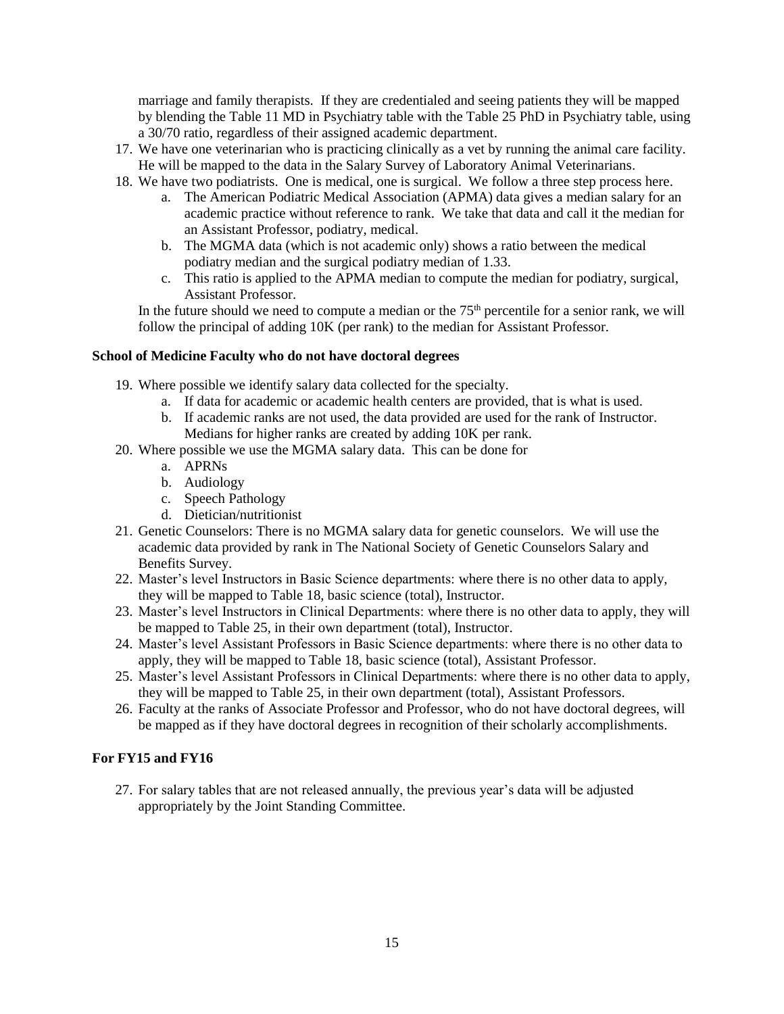marriage and family therapists. If they are credentialed and seeing patients they will be mapped by blending the Table 11 MD in Psychiatry table with the Table 25 PhD in Psychiatry table, using a 30/70 ratio, regardless of their assigned academic department.

- 17. We have one veterinarian who is practicing clinically as a vet by running the animal care facility. He will be mapped to the data in the Salary Survey of Laboratory Animal Veterinarians.
- 18. We have two podiatrists. One is medical, one is surgical. We follow a three step process here.
	- a. The American Podiatric Medical Association (APMA) data gives a median salary for an academic practice without reference to rank. We take that data and call it the median for an Assistant Professor, podiatry, medical.
	- b. The MGMA data (which is not academic only) shows a ratio between the medical podiatry median and the surgical podiatry median of 1.33.
	- c. This ratio is applied to the APMA median to compute the median for podiatry, surgical, Assistant Professor.

In the future should we need to compute a median or the  $75<sup>th</sup>$  percentile for a senior rank, we will follow the principal of adding 10K (per rank) to the median for Assistant Professor.

#### **School of Medicine Faculty who do not have doctoral degrees**

19. Where possible we identify salary data collected for the specialty.

- a. If data for academic or academic health centers are provided, that is what is used.
- b. If academic ranks are not used, the data provided are used for the rank of Instructor. Medians for higher ranks are created by adding 10K per rank.
- 20. Where possible we use the MGMA salary data. This can be done for
	- a. APRNs
	- b. Audiology
	- c. Speech Pathology
	- d. Dietician/nutritionist
- 21. Genetic Counselors: There is no MGMA salary data for genetic counselors. We will use the academic data provided by rank in The National Society of Genetic Counselors Salary and Benefits Survey.
- 22. Master's level Instructors in Basic Science departments: where there is no other data to apply, they will be mapped to Table 18, basic science (total), Instructor.
- 23. Master's level Instructors in Clinical Departments: where there is no other data to apply, they will be mapped to Table 25, in their own department (total), Instructor.
- 24. Master's level Assistant Professors in Basic Science departments: where there is no other data to apply, they will be mapped to Table 18, basic science (total), Assistant Professor.
- 25. Master's level Assistant Professors in Clinical Departments: where there is no other data to apply, they will be mapped to Table 25, in their own department (total), Assistant Professors.
- 26. Faculty at the ranks of Associate Professor and Professor, who do not have doctoral degrees, will be mapped as if they have doctoral degrees in recognition of their scholarly accomplishments.

#### **For FY15 and FY16**

27. For salary tables that are not released annually, the previous year's data will be adjusted appropriately by the Joint Standing Committee.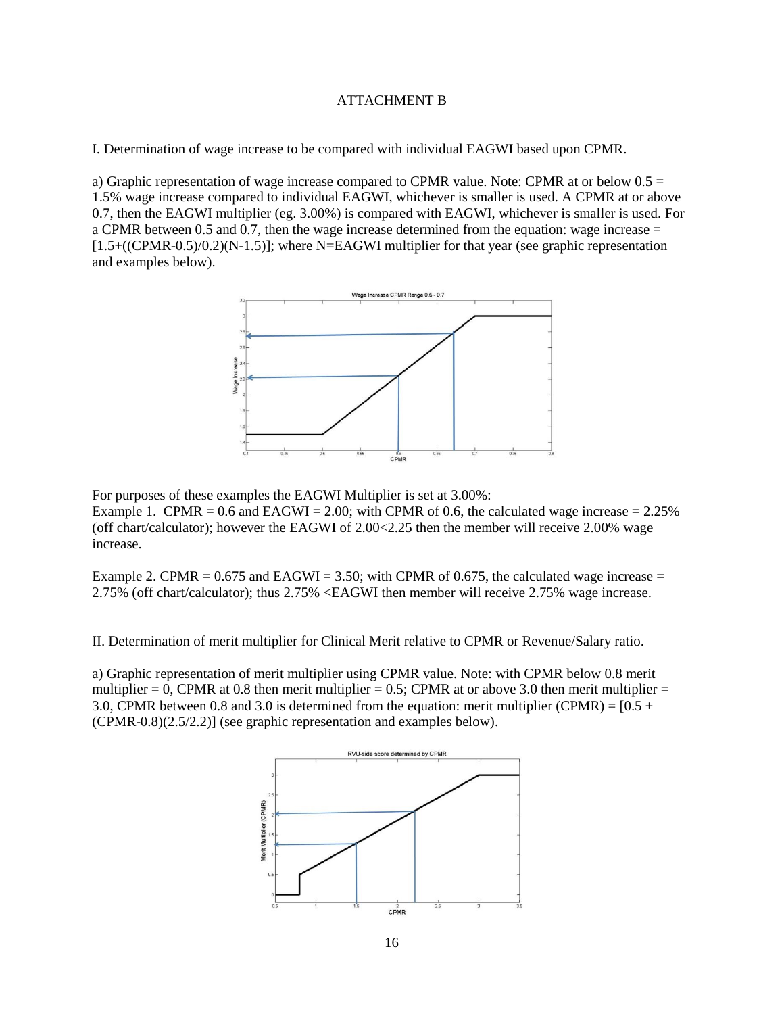#### ATTACHMENT B

I. Determination of wage increase to be compared with individual EAGWI based upon CPMR.

a) Graphic representation of wage increase compared to CPMR value. Note: CPMR at or below  $0.5 =$ 1.5% wage increase compared to individual EAGWI, whichever is smaller is used. A CPMR at or above 0.7, then the EAGWI multiplier (eg. 3.00%) is compared with EAGWI, whichever is smaller is used. For a CPMR between 0.5 and 0.7, then the wage increase determined from the equation: wage increase  $=$ [1.5+((CPMR-0.5)/0.2)(N-1.5)]; where N=EAGWI multiplier for that year (see graphic representation and examples below).



For purposes of these examples the EAGWI Multiplier is set at 3.00%: Example 1. CPMR =  $0.6$  and EAGWI =  $2.00$ ; with CPMR of 0.6, the calculated wage increase =  $2.25\%$ (off chart/calculator); however the EAGWI of 2.00<2.25 then the member will receive 2.00% wage increase.

Example 2. CPMR =  $0.675$  and EAGWI = 3.50; with CPMR of 0.675, the calculated wage increase = 2.75% (off chart/calculator); thus 2.75% <EAGWI then member will receive 2.75% wage increase.

II. Determination of merit multiplier for Clinical Merit relative to CPMR or Revenue/Salary ratio.

a) Graphic representation of merit multiplier using CPMR value. Note: with CPMR below 0.8 merit multiplier = 0, CPMR at 0.8 then merit multiplier = 0.5; CPMR at or above 3.0 then merit multiplier = 3.0, CPMR between 0.8 and 3.0 is determined from the equation: merit multiplier (CPMR) =  $[0.5 +$ (CPMR-0.8)(2.5/2.2)] (see graphic representation and examples below).

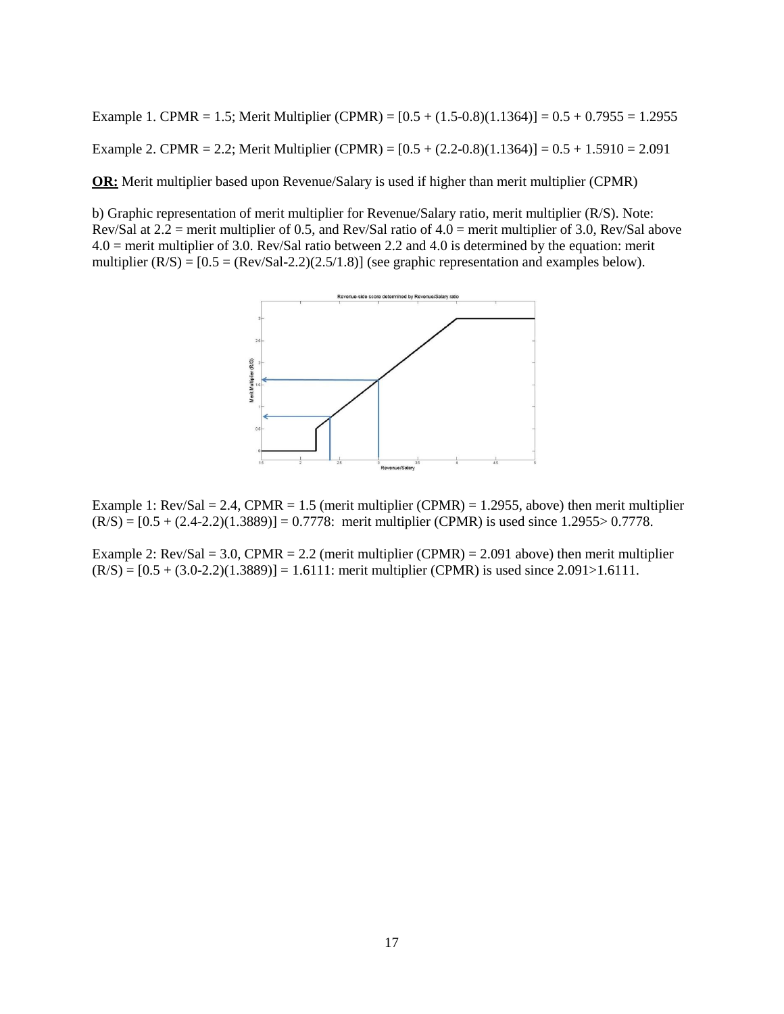Example 1. CPMR = 1.5; Merit Multiplier (CPMR) =  $[0.5 + (1.5-0.8)(1.1364)] = 0.5 + 0.7955 = 1.2955$ Example 2. CPMR = 2.2; Merit Multiplier (CPMR) =  $[0.5 + (2.2 - 0.8)(1.1364)] = 0.5 + 1.5910 = 2.091$ 

**OR:** Merit multiplier based upon Revenue/Salary is used if higher than merit multiplier (CPMR)

b) Graphic representation of merit multiplier for Revenue/Salary ratio, merit multiplier (R/S). Note: Rev/Sal at  $2.2$  = merit multiplier of 0.5, and Rev/Sal ratio of  $4.0$  = merit multiplier of 3.0, Rev/Sal above 4.0 = merit multiplier of 3.0. Rev/Sal ratio between 2.2 and 4.0 is determined by the equation: merit multiplier  $(R/S) = [0.5 = (Rev/Sal-2.2)(2.5/1.8)]$  (see graphic representation and examples below).



Example 1: Rev/Sal = 2.4, CPMR = 1.5 (merit multiplier (CPMR) = 1.2955, above) then merit multiplier  $(R/S) = [0.5 + (2.4-2.2)(1.3889)] = 0.7778$ : merit multiplier (CPMR) is used since 1.2955> 0.7778.

Example 2:  $Rev/Sal = 3.0$ ,  $CPMR = 2.2$  (merit multiplier (CPMR) = 2.091 above) then merit multiplier  $(R/S) = [0.5 + (3.0-2.2)(1.3889)] = 1.6111$ : merit multiplier (CPMR) is used since 2.091>1.6111.